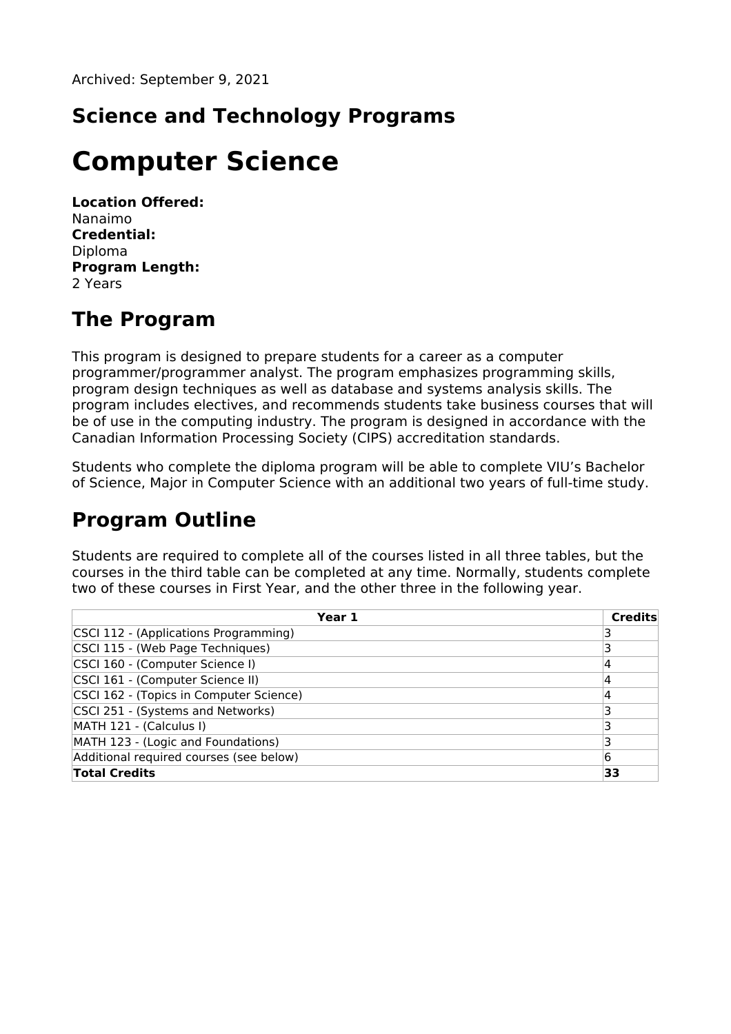# **Science and Technology Programs**

# **Computer Science**

**Location Offered:** Nanaimo **Credential:** Diploma **Program Length:** 2 Years

# **The Program**

This program is designed to prepare students for a career as a computer programmer/programmer analyst. The program emphasizes programming skills, program design techniques as well as database and systems analysis skills. The program includes electives, and recommends students take business courses that will be of use in the computing industry. The program is designed in accordance with the Canadian Information Processing Society (CIPS) accreditation standards.

Students who complete the diploma program will be able to complete VIU's Bachelor of Science, Major in Computer Science with an additional two years of full-time study.

# **Program Outline**

Students are required to complete all of the courses listed in all three tables, but the courses in the third table can be completed at any time. Normally, students complete two of these courses in First Year, and the other three in the following year.

| Year 1                                  | <b>Credits</b> |
|-----------------------------------------|----------------|
| CSCI 112 - (Applications Programming)   |                |
| CSCI 115 - (Web Page Techniques)        |                |
| CSCI 160 - (Computer Science I)         |                |
| CSCI 161 - (Computer Science II)        | 4              |
| CSCI 162 - (Topics in Computer Science) | 4              |
| CSCI 251 - (Systems and Networks)       |                |
| MATH 121 - (Calculus I)                 |                |
| MATH 123 - (Logic and Foundations)      |                |
| Additional required courses (see below) | 6              |
| <b>Total Credits</b>                    | 33             |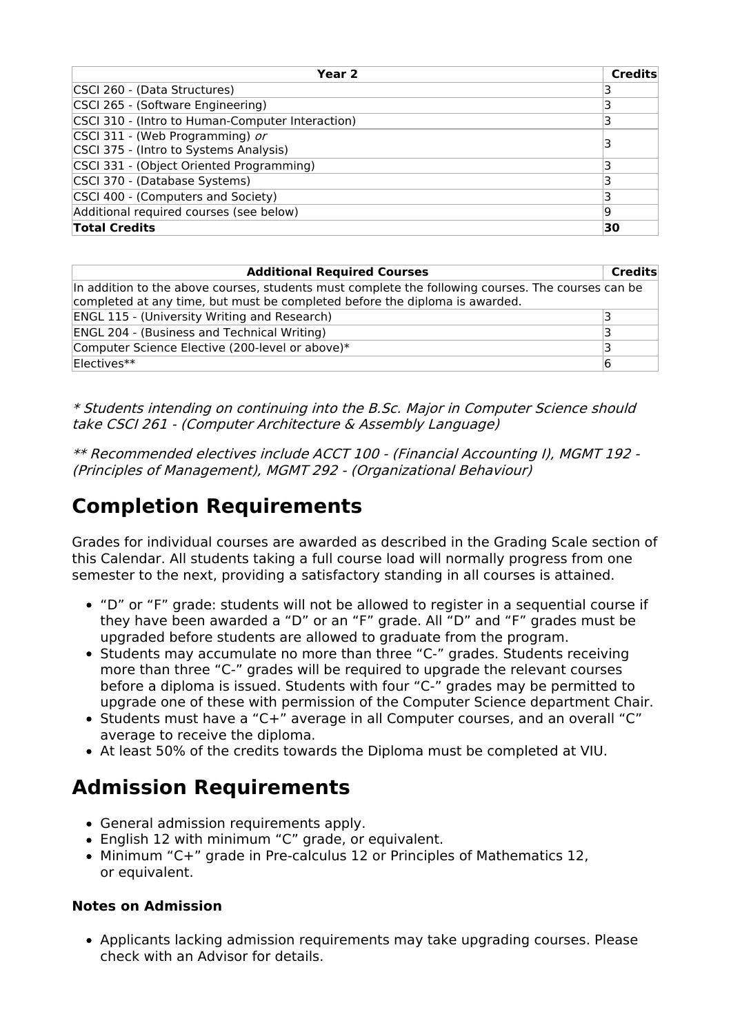| Year 2                                           | <b>Credits</b> |
|--------------------------------------------------|----------------|
| CSCI 260 - (Data Structures)                     |                |
| CSCI 265 - (Software Engineering)                |                |
| CSCI 310 - (Intro to Human-Computer Interaction) |                |
| CSCI 311 - (Web Programming) or                  |                |
| CSCI 375 - (Intro to Systems Analysis)           |                |
| CSCI 331 - (Object Oriented Programming)         |                |
| CSCI 370 - (Database Systems)                    |                |
| CSCI 400 - (Computers and Society)               |                |
| Additional required courses (see below)          | 19             |
| <b>Total Credits</b>                             | 30             |

| <b>Additional Required Courses</b>                                                                                                                                                | <b>Credits</b> |
|-----------------------------------------------------------------------------------------------------------------------------------------------------------------------------------|----------------|
| In addition to the above courses, students must complete the following courses. The courses can be<br>completed at any time, but must be completed before the diploma is awarded. |                |
| <b>ENGL 115 - (University Writing and Research)</b>                                                                                                                               |                |
| <b>ENGL 204 - (Business and Technical Writing)</b>                                                                                                                                |                |
| Computer Science Elective (200-level or above)*                                                                                                                                   |                |
| $Electives**$                                                                                                                                                                     | 6              |

\* Students intending on continuing into the B.Sc. Major in Computer Science should take CSCI 261 - (Computer Architecture & Assembly Language)

\*\* Recommended electives include ACCT 100 - (Financial Accounting I), MGMT 192 - (Principles of Management), MGMT 292 - (Organizational Behaviour)

#### **Completion Requirements**

Grades for individual courses are awarded as described in the Grading Scale section of this Calendar. All students taking a full course load will normally progress from one semester to the next, providing a satisfactory standing in all courses is attained.

- "D" or "F" grade: students will not be allowed to register in a sequential course if they have been awarded a "D" or an "F" grade. All "D" and "F" grades must be upgraded before students are allowed to graduate from the program.
- Students may accumulate no more than three "C-" grades. Students receiving more than three "C-" grades will be required to upgrade the relevant courses before a diploma is issued. Students with four "C-" grades may be permitted to upgrade one of these with permission of the Computer Science department Chair.
- Students must have a "C+" average in all Computer courses, and an overall "C" average to receive the diploma.
- At least 50% of the credits towards the Diploma must be completed at VIU.

## **Admission Requirements**

- General admission requirements apply.
- English 12 with minimum "C" grade, or equivalent.
- Minimum "C+" grade in Pre-calculus 12 or Principles of Mathematics 12, or equivalent.

#### **Notes on Admission**

Applicants lacking admission requirements may take upgrading courses. Please check with an Advisor for details.